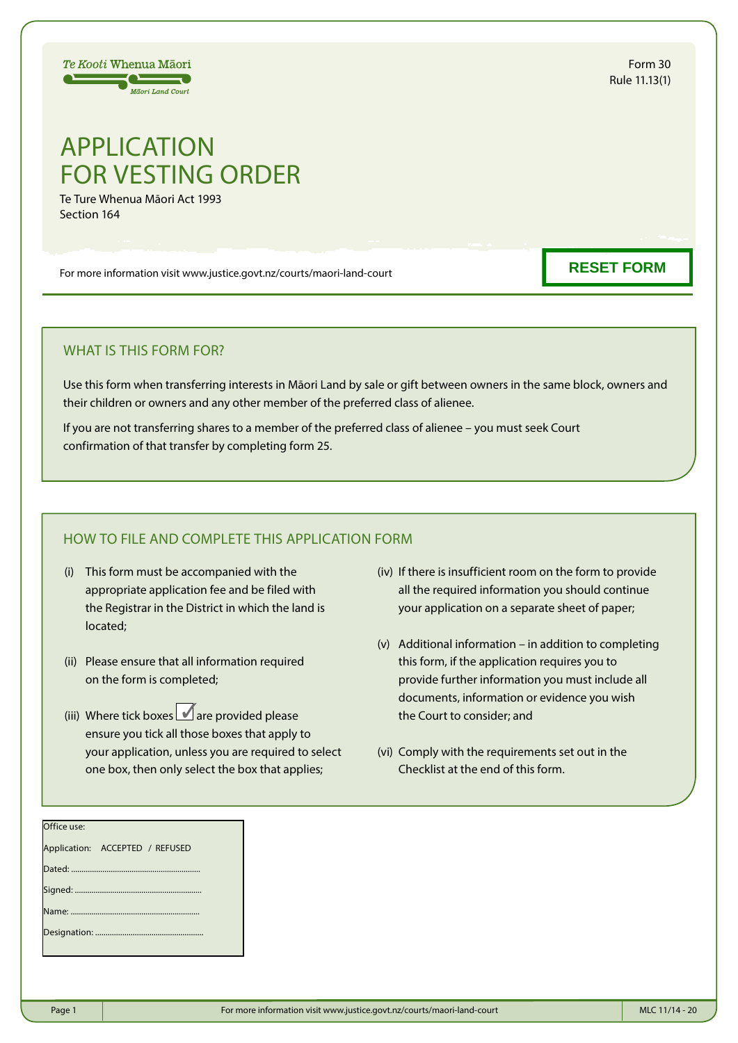# APPLICATION FOR VESTING ORDER

Te Ture Whenua Māori Act 1993 Section 164

Te Kooti Whenua Māori 50000 **Mäori Land Court** 

For more information visit www.justice.govt.nz/courts/maori-land-court

#### WHAT IS THIS FORM FOR?

Use this form when transferring interests in Māori Land by sale or gift between owners in the same block, owners and their children or owners and any other member of the preferred class of alienee.

If you are not transferring shares to a member of the preferred class of alienee – you must seek Court confirmation of that transfer by completing form 25.

### HOW TO FILE AND COMPLETE THIS APPLICATION FORM

- (i) This form must be accompanied with the appropriate application fee and be filed with the Registrar in the District in which the land is located;
- (ii) Please ensure that all information required on the form is completed;
- (iii) Where tick boxes  $\blacksquare$  are provided please ensure you tick all those boxes that apply to your application, unless you are required to select one box, then only select the box that applies;
- (iv) If there is insufficient room on the form to provide all the required information you should continue your application on a separate sheet of paper;
- (v) Additional information in addition to completing this form, if the application requires you to provide further information you must include all documents, information or evidence you wish the Court to consider; and
- (vi) Comply with the requirements set out in the Checklist at the end of this form.

| MLC 11/14 - 20 |  |  |  |
|----------------|--|--|--|
|                |  |  |  |

### **RESET FORM**

Application: ACCEPTED / REFUSED

Office use:

Dated: ... Signed: ...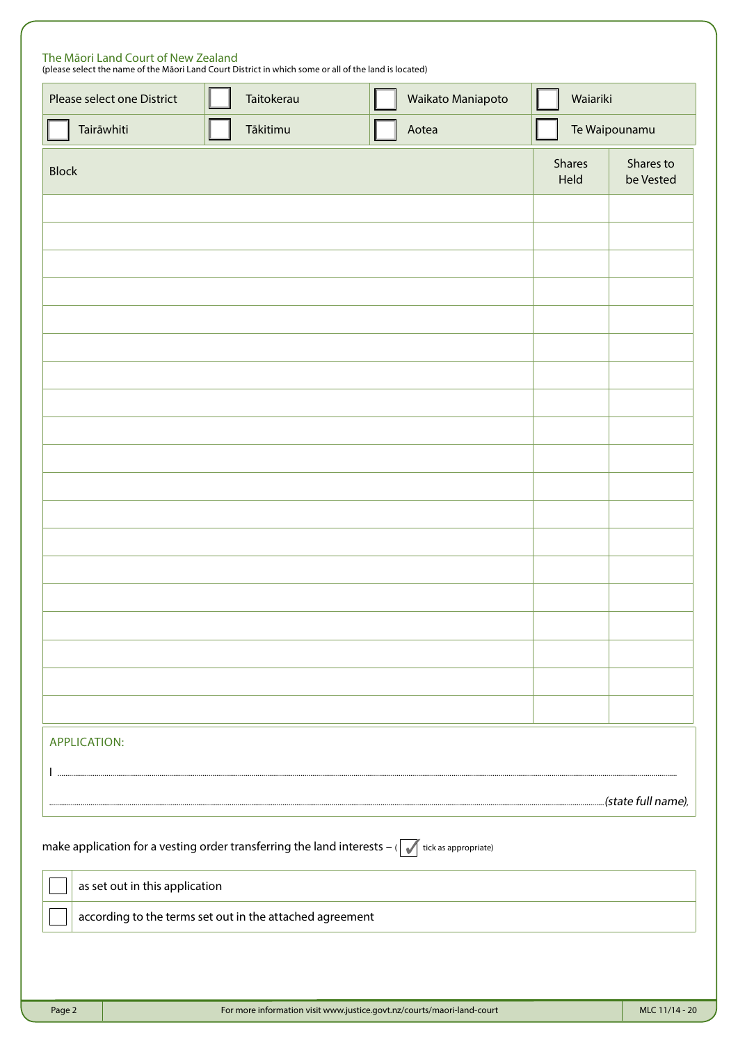| Please select one District     | Taitokerau                                               | Waikato Maniapoto                                                                                                   | Waiariki       |                        |
|--------------------------------|----------------------------------------------------------|---------------------------------------------------------------------------------------------------------------------|----------------|------------------------|
| Tairāwhiti                     | Tākitimu                                                 | Aotea                                                                                                               |                | Te Waipounamu          |
| <b>Block</b>                   |                                                          |                                                                                                                     | Shares<br>Held | Shares to<br>be Vested |
|                                |                                                          |                                                                                                                     |                |                        |
|                                |                                                          |                                                                                                                     |                |                        |
|                                |                                                          |                                                                                                                     |                |                        |
|                                |                                                          |                                                                                                                     |                |                        |
|                                |                                                          |                                                                                                                     |                |                        |
|                                |                                                          |                                                                                                                     |                |                        |
|                                |                                                          |                                                                                                                     |                |                        |
|                                |                                                          |                                                                                                                     |                |                        |
|                                |                                                          |                                                                                                                     |                |                        |
|                                |                                                          |                                                                                                                     |                |                        |
|                                |                                                          |                                                                                                                     |                |                        |
|                                |                                                          |                                                                                                                     |                |                        |
|                                |                                                          |                                                                                                                     |                |                        |
|                                |                                                          |                                                                                                                     |                |                        |
|                                |                                                          |                                                                                                                     |                |                        |
|                                |                                                          |                                                                                                                     |                |                        |
| <b>APPLICATION:</b>            |                                                          |                                                                                                                     |                |                        |
| $\ $                           |                                                          |                                                                                                                     |                |                        |
|                                |                                                          |                                                                                                                     |                |                        |
|                                |                                                          | make application for a vesting order transferring the land interests $-(\sqrt{\frac{1}{100}})$ tick as appropriate) |                |                        |
| as set out in this application |                                                          |                                                                                                                     |                |                        |
|                                | according to the terms set out in the attached agreement |                                                                                                                     |                |                        |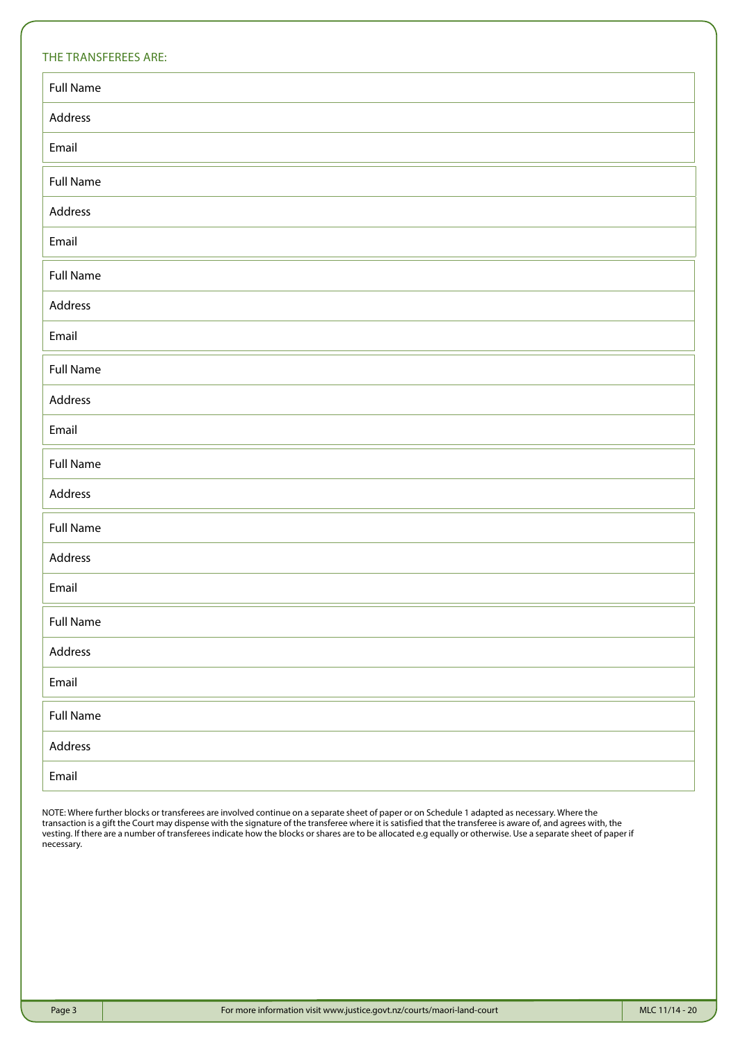| THE TRANSFEREES ARE: |
|----------------------|
| <b>Full Name</b>     |
| Address              |
| Email                |
| <b>Full Name</b>     |
| Address              |
| Email                |
| <b>Full Name</b>     |
| Address              |
| Email                |
| <b>Full Name</b>     |
| Address              |
| Email                |
| <b>Full Name</b>     |
| Address              |
| <b>Full Name</b>     |
| Address              |
| Email                |
| <b>Full Name</b>     |
| Address              |
| Email                |
| <b>Full Name</b>     |
| Address              |
| Email                |

NOTE: Where further blocks or transferees are involved continue on a separate sheet of paper or on Schedule 1 adapted as necessary. Where the transaction is a gift the Court may dispense with the signature of the transferee where it is satisfied that the transferee is aware of, and agrees with, the vesting. If there are a number of transferees indicate how the blocks or shares are to be allocated e.g equally or otherwise. Use a separate sheet of paper if necessary.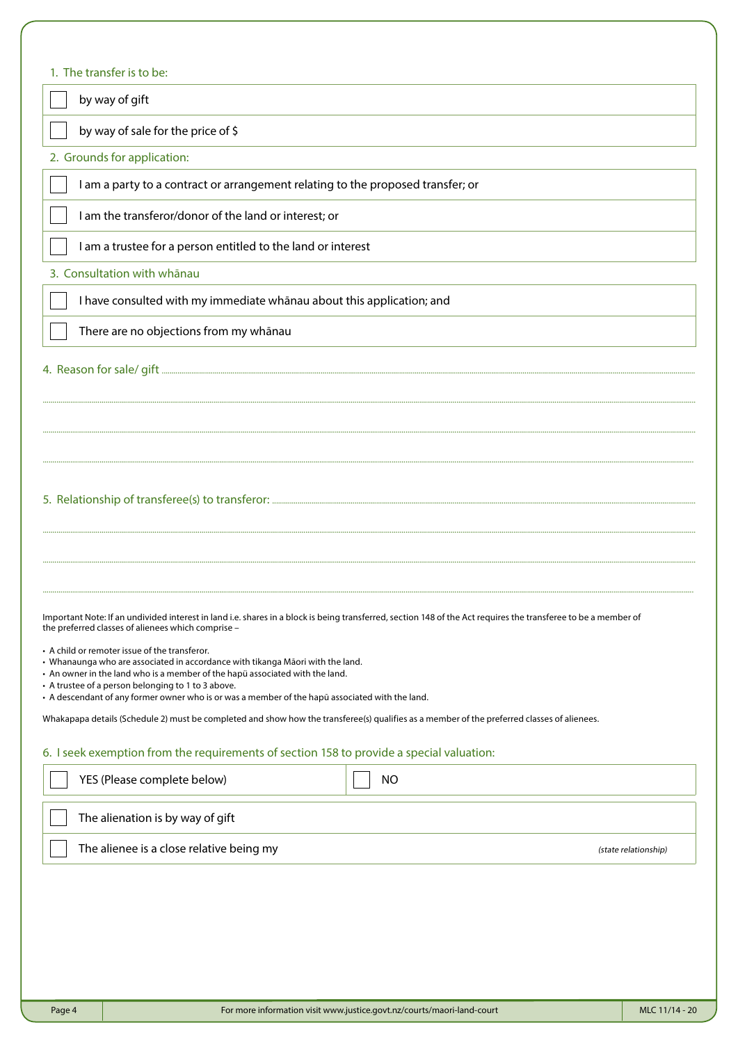| by way of sale for the price of \$                                                                                                                                                                                                             |                                                                                                                                                                |  |  |  |  |
|------------------------------------------------------------------------------------------------------------------------------------------------------------------------------------------------------------------------------------------------|----------------------------------------------------------------------------------------------------------------------------------------------------------------|--|--|--|--|
| 2. Grounds for application:                                                                                                                                                                                                                    |                                                                                                                                                                |  |  |  |  |
| I am a party to a contract or arrangement relating to the proposed transfer; or                                                                                                                                                                |                                                                                                                                                                |  |  |  |  |
| I am the transferor/donor of the land or interest; or                                                                                                                                                                                          |                                                                                                                                                                |  |  |  |  |
| I am a trustee for a person entitled to the land or interest                                                                                                                                                                                   |                                                                                                                                                                |  |  |  |  |
| 3. Consultation with whānau                                                                                                                                                                                                                    |                                                                                                                                                                |  |  |  |  |
| I have consulted with my immediate whanau about this application; and                                                                                                                                                                          |                                                                                                                                                                |  |  |  |  |
| There are no objections from my whānau                                                                                                                                                                                                         |                                                                                                                                                                |  |  |  |  |
|                                                                                                                                                                                                                                                |                                                                                                                                                                |  |  |  |  |
|                                                                                                                                                                                                                                                |                                                                                                                                                                |  |  |  |  |
|                                                                                                                                                                                                                                                |                                                                                                                                                                |  |  |  |  |
|                                                                                                                                                                                                                                                |                                                                                                                                                                |  |  |  |  |
|                                                                                                                                                                                                                                                |                                                                                                                                                                |  |  |  |  |
|                                                                                                                                                                                                                                                |                                                                                                                                                                |  |  |  |  |
| the preferred classes of alienees which comprise -<br>• A child or remoter issue of the transferor.<br>• Whanaunga who are associated in accordance with tikanga Māori with the land.                                                          | Important Note: If an undivided interest in land i.e. shares in a block is being transferred, section 148 of the Act requires the transferee to be a member of |  |  |  |  |
| • An owner in the land who is a member of the hapü associated with the land.<br>• A trustee of a person belonging to 1 to 3 above.                                                                                                             |                                                                                                                                                                |  |  |  |  |
| • A descendant of any former owner who is or was a member of the hapū associated with the land.<br>Whakapapa details (Schedule 2) must be completed and show how the transferee(s) qualifies as a member of the preferred classes of alienees. |                                                                                                                                                                |  |  |  |  |
|                                                                                                                                                                                                                                                |                                                                                                                                                                |  |  |  |  |
|                                                                                                                                                                                                                                                |                                                                                                                                                                |  |  |  |  |
| 6. I seek exemption from the requirements of section 158 to provide a special valuation:<br>YES (Please complete below)                                                                                                                        | <b>NO</b>                                                                                                                                                      |  |  |  |  |
| The alienation is by way of gift<br>The alienee is a close relative being my                                                                                                                                                                   | (state relationship)                                                                                                                                           |  |  |  |  |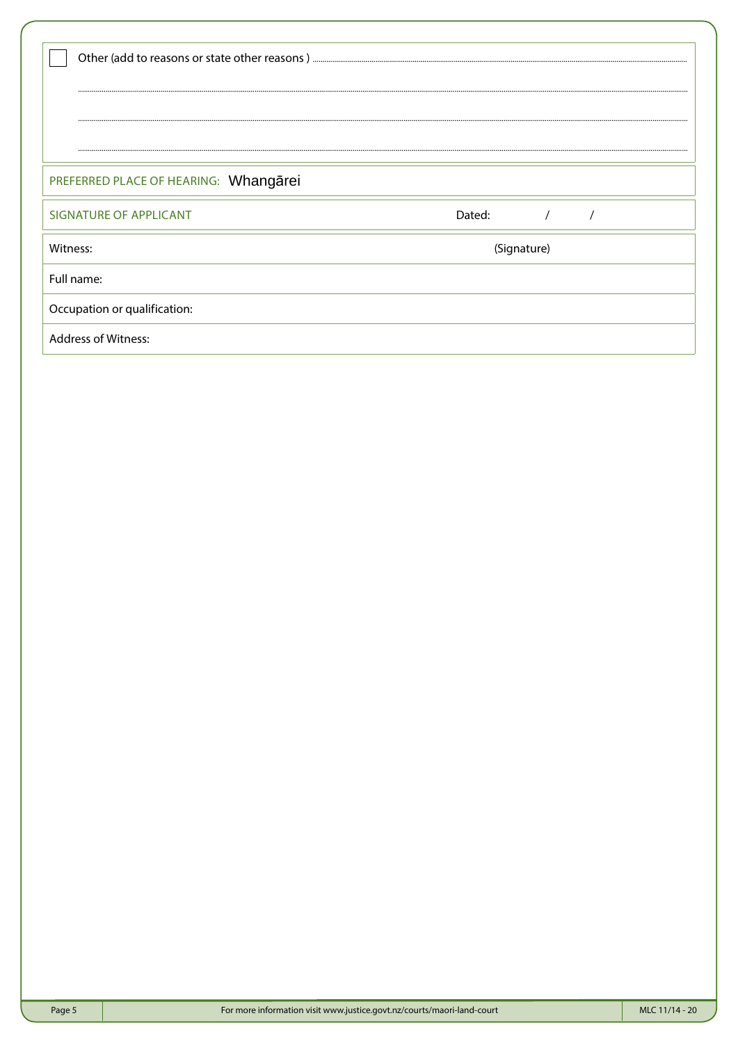| PREFERRED PLACE OF HEARING: Whangarei |             |  |  |  |
|---------------------------------------|-------------|--|--|--|
| SIGNATURE OF APPLICANT                | Dated:      |  |  |  |
| Witness:                              | (Signature) |  |  |  |
| Full name:                            |             |  |  |  |
| Occupation or qualification:          |             |  |  |  |
| <b>Address of Witness:</b>            |             |  |  |  |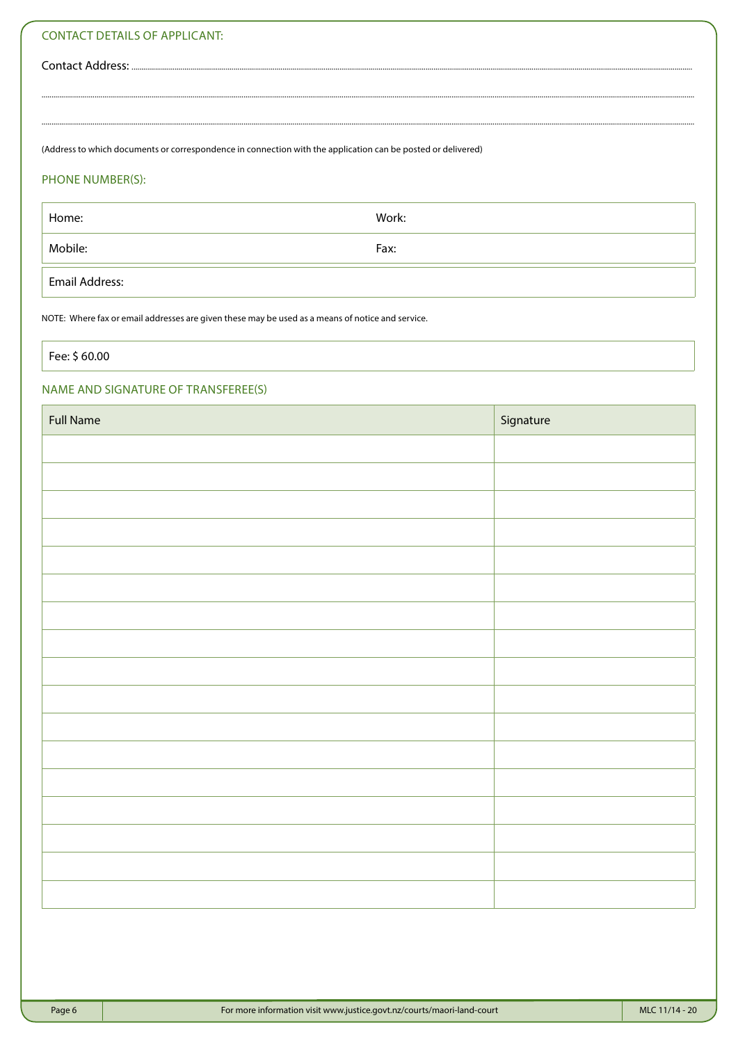#### **CONTACT DETAILS OF APPLICANT:**

Contact Address: ....

(Address to which documents or correspondence in connection with the application can be posted or delivered)

#### PHONE NUMBER(S):

Home: Work: Mobile: Fax: **Email Address:** 

NOTE: Where fax or email addresses are given these may be used as a means of notice and service.

Fee: \$ 60.00

#### NAME AND SIGNATURE OF TRANSFEREE(S)

| <b>Full Name</b> | Signature |
|------------------|-----------|
|                  |           |
|                  |           |
|                  |           |
|                  |           |
|                  |           |
|                  |           |
|                  |           |
|                  |           |
|                  |           |
|                  |           |
|                  |           |
|                  |           |
|                  |           |
|                  |           |
|                  |           |
|                  |           |
|                  |           |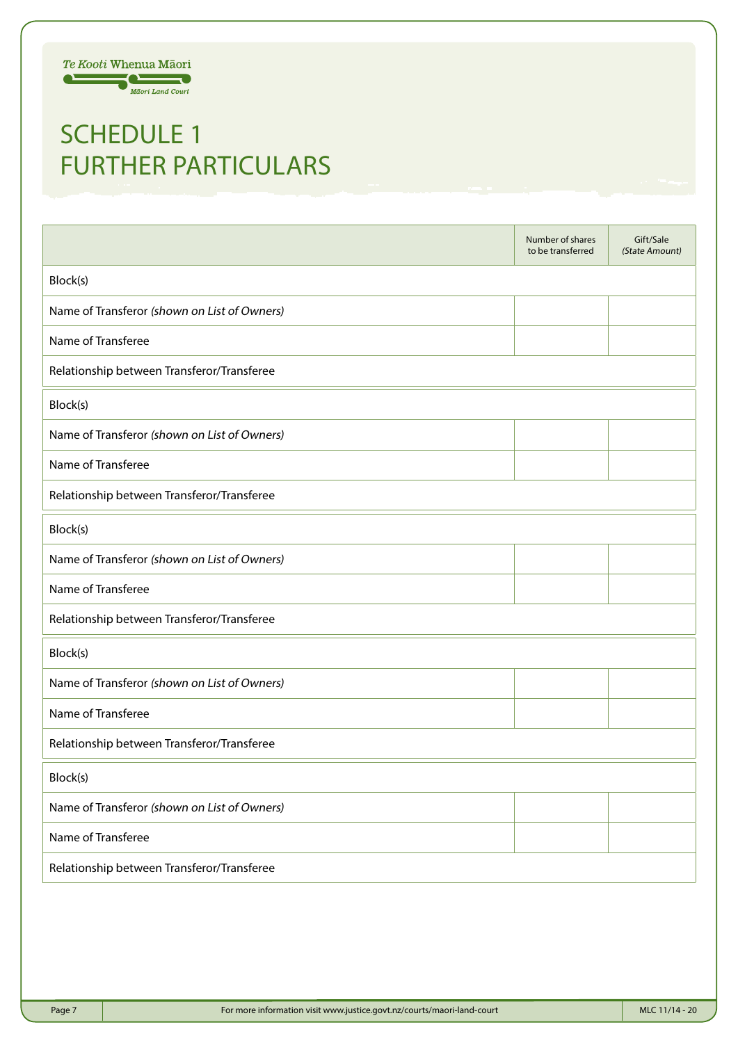

### SCHEDULE 1 FURTHER PARTICULARS

|                                              | Number of shares<br>to be transferred | Gift/Sale<br>(State Amount) |  |  |  |
|----------------------------------------------|---------------------------------------|-----------------------------|--|--|--|
| Block(s)                                     |                                       |                             |  |  |  |
| Name of Transferor (shown on List of Owners) |                                       |                             |  |  |  |
| Name of Transferee                           |                                       |                             |  |  |  |
| Relationship between Transferor/Transferee   |                                       |                             |  |  |  |
| Block(s)                                     |                                       |                             |  |  |  |
| Name of Transferor (shown on List of Owners) |                                       |                             |  |  |  |
| Name of Transferee                           |                                       |                             |  |  |  |
| Relationship between Transferor/Transferee   |                                       |                             |  |  |  |
| Block(s)                                     |                                       |                             |  |  |  |
| Name of Transferor (shown on List of Owners) |                                       |                             |  |  |  |
| Name of Transferee                           |                                       |                             |  |  |  |
| Relationship between Transferor/Transferee   |                                       |                             |  |  |  |
| Block(s)                                     |                                       |                             |  |  |  |
| Name of Transferor (shown on List of Owners) |                                       |                             |  |  |  |
| Name of Transferee                           |                                       |                             |  |  |  |
| Relationship between Transferor/Transferee   |                                       |                             |  |  |  |
| Block(s)                                     |                                       |                             |  |  |  |
| Name of Transferor (shown on List of Owners) |                                       |                             |  |  |  |
| Name of Transferee                           |                                       |                             |  |  |  |
| Relationship between Transferor/Transferee   |                                       |                             |  |  |  |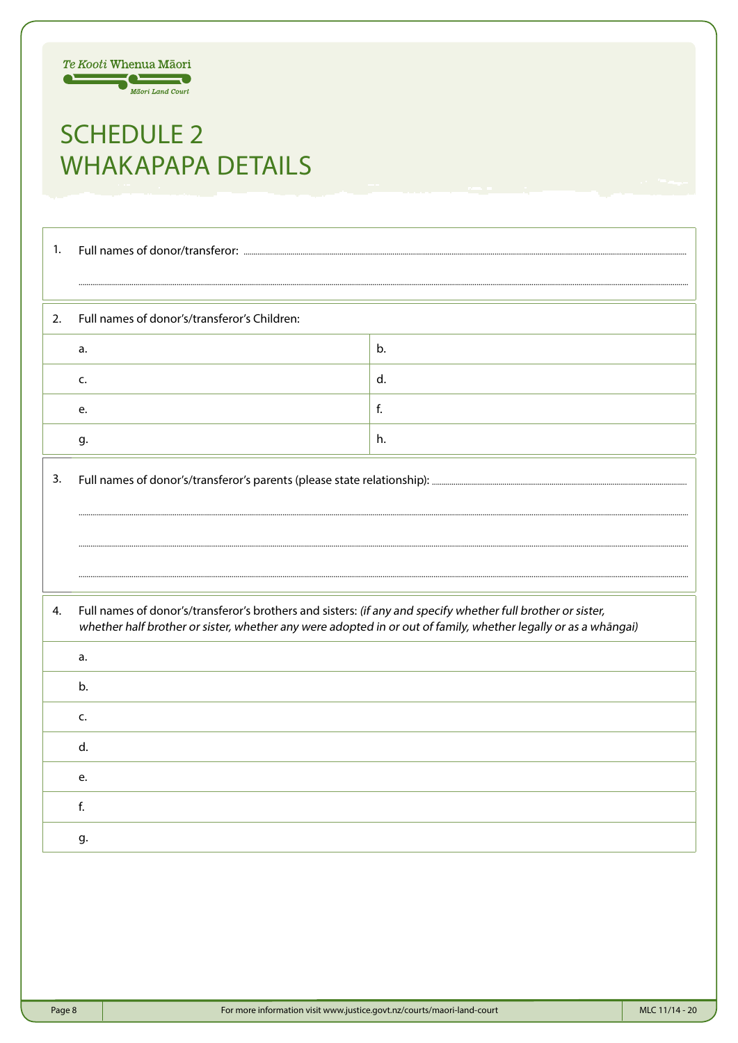

# **SCHEDULE 2 WHAKAPAPA DETAILS**

| 1. |                                                                                                                                                                                                                                |    |  |  |  |
|----|--------------------------------------------------------------------------------------------------------------------------------------------------------------------------------------------------------------------------------|----|--|--|--|
|    |                                                                                                                                                                                                                                |    |  |  |  |
| 2. | Full names of donor's/transferor's Children:                                                                                                                                                                                   |    |  |  |  |
|    | a.                                                                                                                                                                                                                             | b. |  |  |  |
|    | c.                                                                                                                                                                                                                             | d. |  |  |  |
|    | e.                                                                                                                                                                                                                             | f. |  |  |  |
|    | g.                                                                                                                                                                                                                             | h. |  |  |  |
| 3. |                                                                                                                                                                                                                                |    |  |  |  |
|    |                                                                                                                                                                                                                                |    |  |  |  |
|    |                                                                                                                                                                                                                                |    |  |  |  |
|    |                                                                                                                                                                                                                                |    |  |  |  |
| 4. | Full names of donor's/transferor's brothers and sisters: (if any and specify whether full brother or sister,<br>whether half brother or sister, whether any were adopted in or out of family, whether legally or as a whāngai) |    |  |  |  |
|    | a.                                                                                                                                                                                                                             |    |  |  |  |
|    | b.                                                                                                                                                                                                                             |    |  |  |  |
|    | c.                                                                                                                                                                                                                             |    |  |  |  |
|    | d.                                                                                                                                                                                                                             |    |  |  |  |
|    | e.                                                                                                                                                                                                                             |    |  |  |  |
|    | f.                                                                                                                                                                                                                             |    |  |  |  |
|    | g.                                                                                                                                                                                                                             |    |  |  |  |